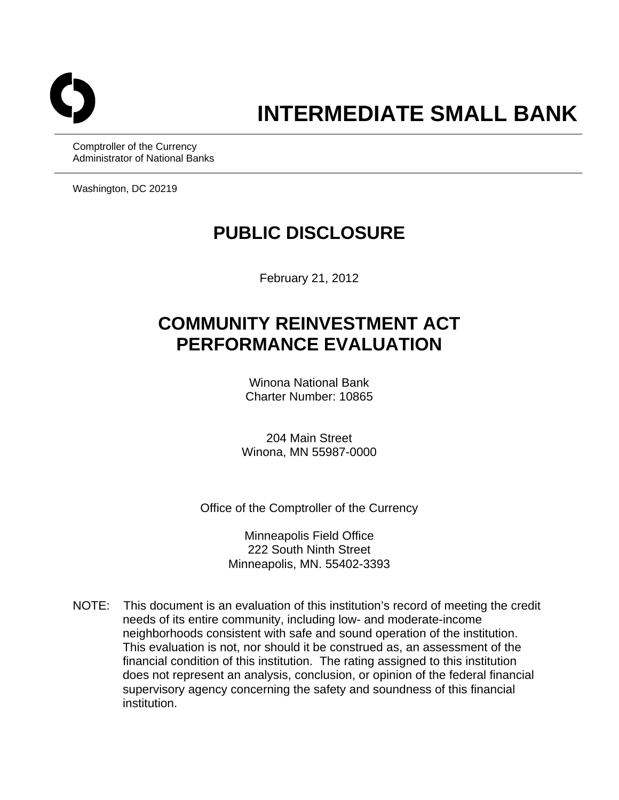

# **INTERMEDIATE SMALL BANK**

Comptroller of the Currency Administrator of National Banks

Washington, DC 20219

# **PUBLIC DISCLOSURE**

February 21, 2012

# **COMMUNITY REINVESTMENT ACT PERFORMANCE EVALUATION**

Winona National Bank Charter Number: 10865

204 Main Street Winona, MN 55987-0000

Office of the Comptroller of the Currency

Minneapolis Field Office 222 South Ninth Street Minneapolis, MN. 55402-3393

NOTE: This document is an evaluation of this institution's record of meeting the credit needs of its entire community, including low- and moderate-income neighborhoods consistent with safe and sound operation of the institution. This evaluation is not, nor should it be construed as, an assessment of the financial condition of this institution. The rating assigned to this institution does not represent an analysis, conclusion, or opinion of the federal financial supervisory agency concerning the safety and soundness of this financial institution.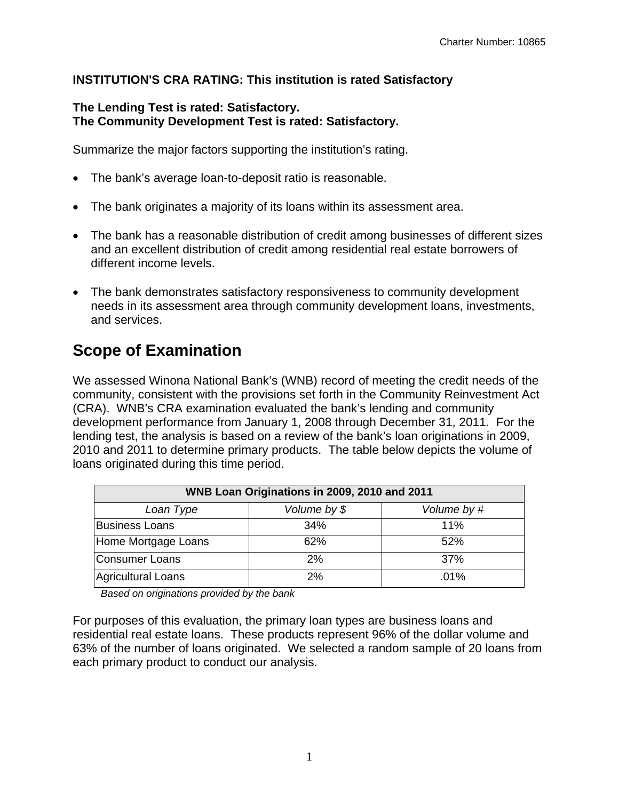#### **INSTITUTION'S CRA RATING: This institution is rated Satisfactory**

#### **The Lending Test is rated: Satisfactory. The Community Development Test is rated: Satisfactory.**

Summarize the major factors supporting the institution's rating.

- The bank's average loan-to-deposit ratio is reasonable.
- The bank originates a majority of its loans within its assessment area.
- The bank has a reasonable distribution of credit among businesses of different sizes and an excellent distribution of credit among residential real estate borrowers of different income levels.
- The bank demonstrates satisfactory responsiveness to community development needs in its assessment area through community development loans, investments, and services.

# **Scope of Examination**

We assessed Winona National Bank's (WNB) record of meeting the credit needs of the community, consistent with the provisions set forth in the Community Reinvestment Act (CRA). WNB's CRA examination evaluated the bank's lending and community development performance from January 1, 2008 through December 31, 2011. For the lending test, the analysis is based on a review of the bank's loan originations in 2009, 2010 and 2011 to determine primary products. The table below depicts the volume of loans originated during this time period.

| WNB Loan Originations in 2009, 2010 and 2011 |     |         |  |  |  |  |  |
|----------------------------------------------|-----|---------|--|--|--|--|--|
| Volume by \$<br>Volume by #<br>Loan Type     |     |         |  |  |  |  |  |
| <b>Business Loans</b>                        | 34% | 11%     |  |  |  |  |  |
| Home Mortgage Loans                          | 62% | 52%     |  |  |  |  |  |
| Consumer Loans                               | 2%  | 37%     |  |  |  |  |  |
| Agricultural Loans                           | 2%  | $.01\%$ |  |  |  |  |  |

 *Based on originations provided by the bank* 

For purposes of this evaluation, the primary loan types are business loans and residential real estate loans. These products represent 96% of the dollar volume and 63% of the number of loans originated. We selected a random sample of 20 loans from each primary product to conduct our analysis.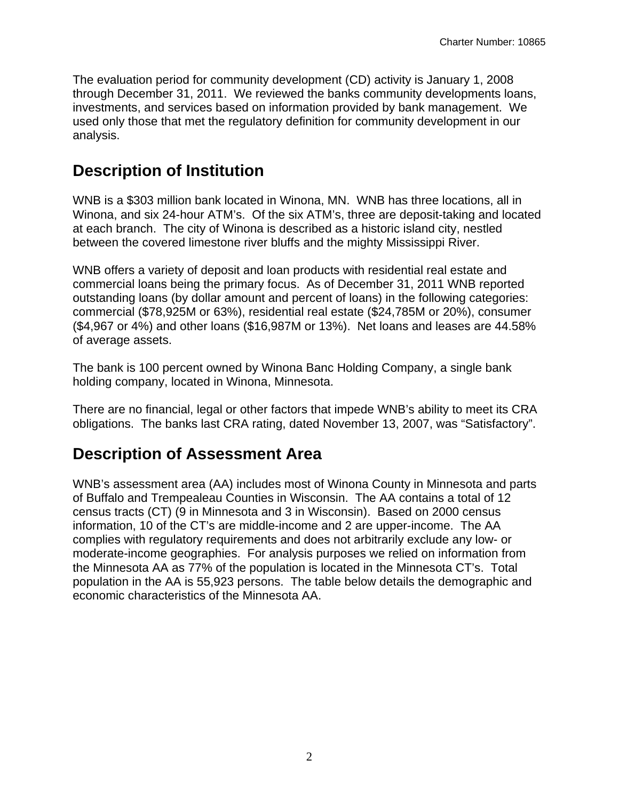The evaluation period for community development (CD) activity is January 1, 2008 through December 31, 2011. We reviewed the banks community developments loans, investments, and services based on information provided by bank management. We used only those that met the regulatory definition for community development in our analysis.

## **Description of Institution**

WNB is a \$303 million bank located in Winona, MN. WNB has three locations, all in Winona, and six 24-hour ATM's. Of the six ATM's, three are deposit-taking and located at each branch. The city of Winona is described as a historic island city, nestled between the covered limestone river bluffs and the mighty Mississippi River.

WNB offers a variety of deposit and loan products with residential real estate and commercial loans being the primary focus. As of December 31, 2011 WNB reported outstanding loans (by dollar amount and percent of loans) in the following categories: commercial (\$78,925M or 63%), residential real estate (\$24,785M or 20%), consumer (\$4,967 or 4%) and other loans (\$16,987M or 13%). Net loans and leases are 44.58% of average assets.

holding company, located in Winona, Minnesota. The bank is 100 percent owned by Winona Banc Holding Company, a single bank

There are no financial, legal or other factors that impede WNB's ability to meet its CRA obligations. The banks last CRA rating, dated November 13, 2007, was "Satisfactory".

### **Description of Assessment Area**

WNB's assessment area (AA) includes most of Winona County in Minnesota and parts of Buffalo and Trempealeau Counties in Wisconsin. The AA contains a total of 12 census tracts (CT) (9 in Minnesota and 3 in Wisconsin). Based on 2000 census information, 10 of the CT's are middle-income and 2 are upper-income. The AA complies with regulatory requirements and does not arbitrarily exclude any low- or moderate-income geographies. For analysis purposes we relied on information from the Minnesota AA as 77% of the population is located in the Minnesota CT's. Total population in the AA is 55,923 persons. The table below details the demographic and economic characteristics of the Minnesota AA.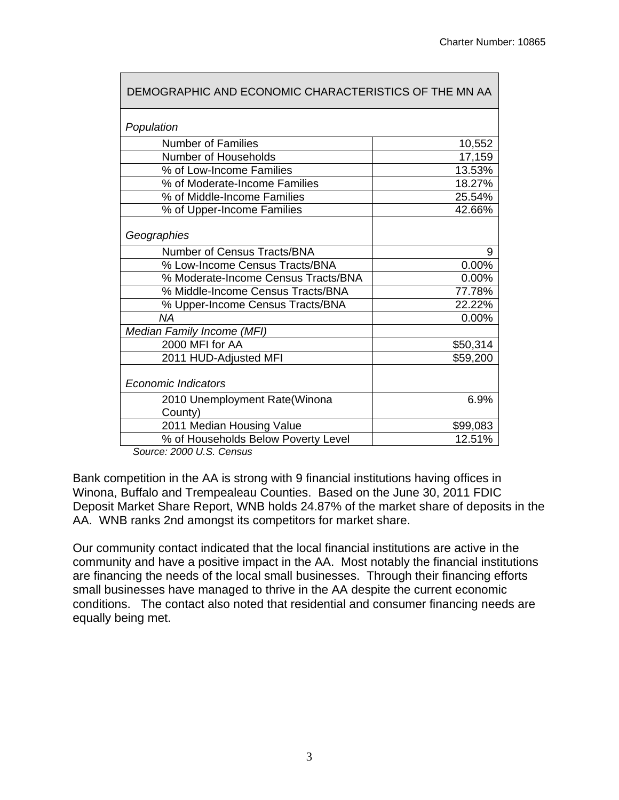| DEMOGRAPHIC AND ECONOMIC CHARACTERISTICS OF THE MN AA |          |
|-------------------------------------------------------|----------|
| Population                                            |          |
| <b>Number of Families</b>                             | 10,552   |
| Number of Households                                  | 17,159   |
| % of Low-Income Families                              | 13.53%   |
| % of Moderate-Income Families                         | 18.27%   |
| % of Middle-Income Families                           | 25.54%   |
| % of Upper-Income Families                            | 42.66%   |
| Geographies                                           |          |
| Number of Census Tracts/BNA                           | 9        |
| % Low-Income Census Tracts/BNA                        | 0.00%    |
| % Moderate-Income Census Tracts/BNA                   | 0.00%    |
| % Middle-Income Census Tracts/BNA                     | 77.78%   |
| % Upper-Income Census Tracts/BNA                      | 22.22%   |
| <b>NA</b>                                             | 0.00%    |
| Median Family Income (MFI)                            |          |
| 2000 MFI for AA                                       | \$50,314 |
| 2011 HUD-Adjusted MFI                                 | \$59,200 |
| <b>Economic Indicators</b>                            |          |
| 2010 Unemployment Rate(Winona                         | 6.9%     |
| County)                                               |          |
| 2011 Median Housing Value                             | \$99,083 |
| % of Households Below Poverty Level                   | 12.51%   |

*Source: 2000 U.S. Census* 

Bank competition in the AA is strong with 9 financial institutions having offices in Winona, Buffalo and Trempealeau Counties. Based on the June 30, 2011 FDIC Deposit Market Share Report, WNB holds 24.87% of the market share of deposits in the AA. WNB ranks 2nd amongst its competitors for market share.

Our community contact indicated that the local financial institutions are active in the community and have a positive impact in the AA. Most notably the financial institutions are financing the needs of the local small businesses. Through their financing efforts small businesses have managed to thrive in the AA despite the current economic conditions. The contact also noted that residential and consumer financing needs are equally being met.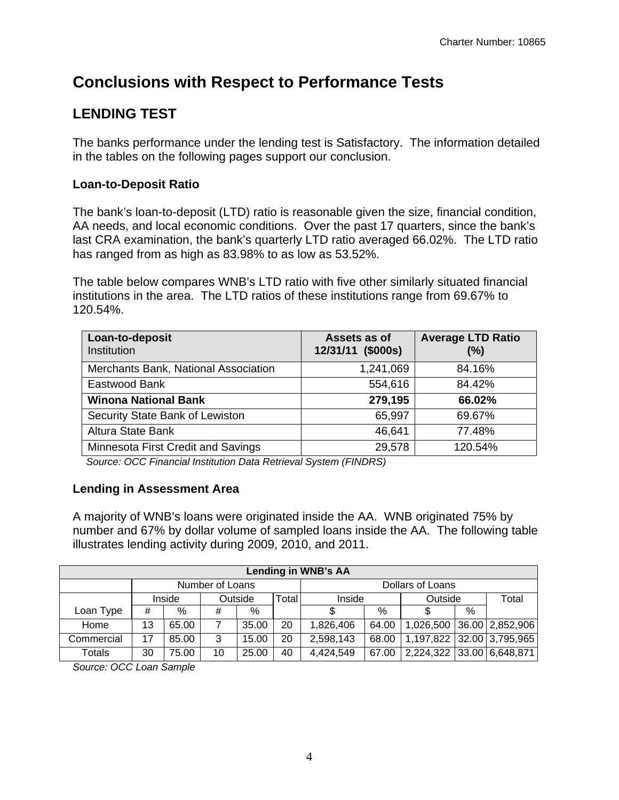# **Conclusions with Respect to Performance Tests**

### **LENDING TEST**

The banks performance under the lending test is Satisfactory. The information detailed in the tables on the following pages support our conclusion.

#### **Loan-to-Deposit Ratio**

The bank's loan-to-deposit (LTD) ratio is reasonable given the size, financial condition, AA needs, and local economic conditions. Over the past 17 quarters, since the bank's last CRA examination, the bank's quarterly LTD ratio averaged 66.02%. The LTD ratio has ranged from as high as 83.98% to as low as 53.52%.

The table below compares WNB's LTD ratio with five other similarly situated financial institutions in the area. The LTD ratios of these institutions range from 69.67% to 120.54%.

| Loan-to-deposit<br>Institution       | Assets as of<br>12/31/11 (\$000s) | <b>Average LTD Ratio</b><br>(%) |
|--------------------------------------|-----------------------------------|---------------------------------|
| Merchants Bank, National Association | 1,241,069                         | 84.16%                          |
| Eastwood Bank                        | 554,616                           | 84.42%                          |
| <b>Winona National Bank</b>          | 279,195                           | 66.02%                          |
| Security State Bank of Lewiston      | 65,997                            | 69.67%                          |
| Altura State Bank                    | 46,641                            | 77.48%                          |
| Minnesota First Credit and Savings   | 29,578                            | 120.54%                         |

*Source: OCC Financial Institution Data Retrieval System (FINDRS)* 

#### **Lending in Assessment Area**

A majority of WNB's loans were originated inside the AA. WNB originated 75% by number and 67% by dollar volume of sampled loans inside the AA. The following table illustrates lending activity during 2009, 2010, and 2011.

| <b>Lending in WNB's AA</b> |                 |        |    |               |                  |           |       |         |   |                           |
|----------------------------|-----------------|--------|----|---------------|------------------|-----------|-------|---------|---|---------------------------|
|                            | Number of Loans |        |    |               | Dollars of Loans |           |       |         |   |                           |
|                            |                 | Inside |    | Outside       | <b>Total</b>     | Inside    |       | Outside |   | Total                     |
| Loan Type                  | #               | %      | #  | $\frac{0}{0}$ |                  |           | %     |         | % |                           |
| Home                       | 13              | 65.00  |    | 35.00         | 20               | 1,826,406 | 64.00 |         |   | 1,026,500 36.00 2,852,906 |
| Commercial                 | 17              | 85.00  | 3  | 15.00         | 20               | 2,598,143 | 68.00 |         |   | 1,197,822 32.00 3,795,965 |
| Totals                     | 30              | 75.00  | 10 | 25.00         | 40               | 4,424,549 | 67.00 |         |   | 2,224,322 33.00 6,648,871 |

*Source: OCC Loan Sample*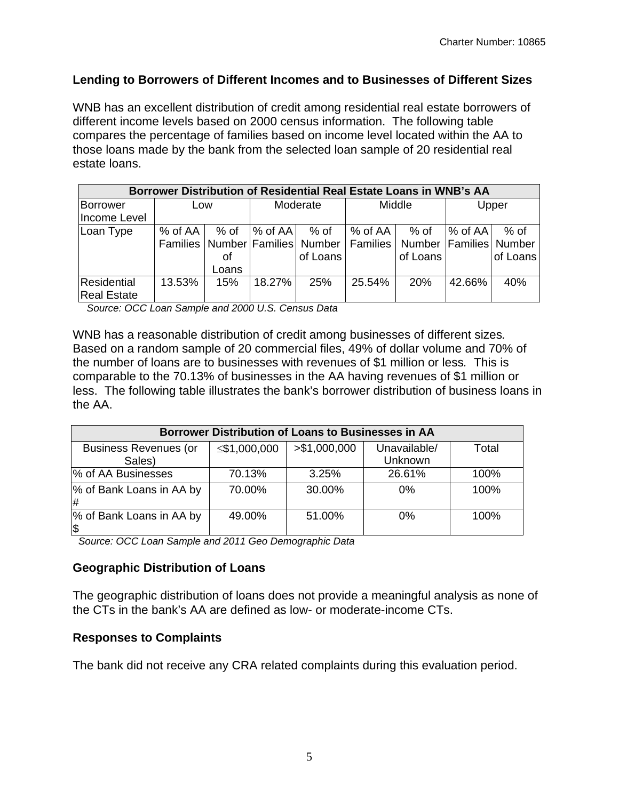#### **Lending to Borrowers of Different Incomes and to Businesses of Different Sizes**

WNB has an excellent distribution of credit among residential real estate borrowers of different income levels based on 2000 census information. The following table compares the percentage of families based on income level located within the AA to those loans made by the bank from the selected loan sample of 20 residential real estate loans.

| Borrower Distribution of Residential Real Estate Loans in WNB's AA |               |       |            |                                                                               |               |            |           |          |  |
|--------------------------------------------------------------------|---------------|-------|------------|-------------------------------------------------------------------------------|---------------|------------|-----------|----------|--|
| Borrower                                                           | Low           |       | Moderate   |                                                                               | Middle        |            | Upper     |          |  |
| Income Level                                                       |               |       |            |                                                                               |               |            |           |          |  |
| Loan Type                                                          | $%$ of AA $ $ | % of  | $\%$ of AA | % of                                                                          | $%$ of AA $ $ | % of       | $%$ of AA | % of     |  |
|                                                                    |               |       |            | Families   Number   Families   Number   Families   Number   Families   Number |               |            |           |          |  |
|                                                                    |               | οf    |            | of Loans                                                                      |               | of Loans   |           | of Loans |  |
|                                                                    |               | Loans |            |                                                                               |               |            |           |          |  |
| Residential                                                        | 13.53%        | 15%   | 18.27%     | 25%                                                                           | 25.54%        | <b>20%</b> | 42.66%    | 40%      |  |
| <b>Real Estate</b>                                                 |               |       |            |                                                                               |               |            |           |          |  |

 *Source: OCC Loan Sample and 2000 U.S. Census Data* 

WNB has a reasonable distribution of credit among businesses of different sizes*.*  Based on a random sample of 20 commercial files, 49% of dollar volume and 70% of the number of loans are to businesses with revenues of \$1 million or less*.* This is comparable to the 70.13% of businesses in the AA having revenues of \$1 million or less. The following table illustrates the bank's borrower distribution of business loans in the AA.

| Borrower Distribution of Loans to Businesses in AA |              |               |              |       |  |  |  |  |  |
|----------------------------------------------------|--------------|---------------|--------------|-------|--|--|--|--|--|
| <b>Business Revenues (or</b>                       | ≤\$1,000,000 | > \$1,000,000 | Unavailable/ | Total |  |  |  |  |  |
| Sales)                                             |              |               | Unknown      |       |  |  |  |  |  |
| % of AA Businesses                                 | 70.13%       | 3.25%         | 26.61%       | 100%  |  |  |  |  |  |
| % of Bank Loans in AA by<br>l#                     | 70.00%       | 30.00%        | 0%           | 100%  |  |  |  |  |  |
| % of Bank Loans in AA by<br>$\sqrt{3}$             | 49.00%       | 51.00%        | 0%           | 100%  |  |  |  |  |  |

 *Source: OCC Loan Sample and 2011 Geo Demographic Data* 

#### **Geographic Distribution of Loans**

The geographic distribution of loans does not provide a meaningful analysis as none of the CTs in the bank's AA are defined as low- or moderate-income CTs.

#### **Responses to Complaints**

The bank did not receive any CRA related complaints during this evaluation period.